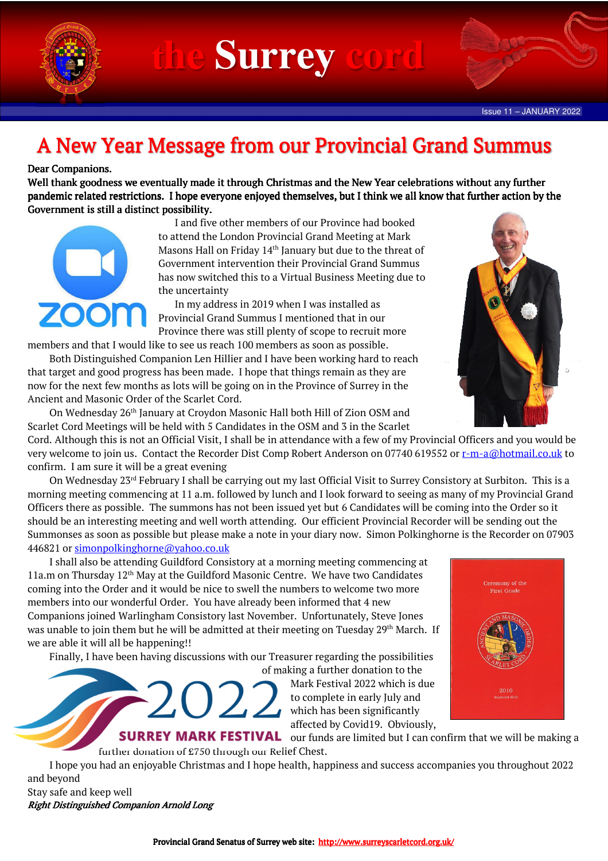

**Surrey** 

## A New Year Message from our Provincial Grand Summus

## Dear Companions.

Well thank goodness we eventually made it through Christmas and the New Year celebrations without any further pandemic related restrictions. I hope everyone enjoyed themselves, but I think we all know that further action by the Government is still a distinct possibility.



 I and five other members of our Province had booked to attend the London Provincial Grand Meeting at Mark Masons Hall on Friday 14<sup>th</sup> January but due to the threat of Government intervention their Provincial Grand Summus has now switched this to a Virtual Business Meeting due to the uncertainty

 In my address in 2019 when I was installed as Provincial Grand Summus I mentioned that in our Province there was still plenty of scope to recruit more

members and that I would like to see us reach 100 members as soon as possible.

 Both Distinguished Companion Len Hillier and I have been working hard to reach that target and good progress has been made. I hope that things remain as they are now for the next few months as lots will be going on in the Province of Surrey in the Ancient and Masonic Order of the Scarlet Cord.

 On Wednesday 26th January at Croydon Masonic Hall both Hill of Zion OSM and Scarlet Cord Meetings will be held with 5 Candidates in the OSM and 3 in the Scarlet

Cord. Although this is not an Official Visit, I shall be in attendance with a few of my Provincial Officers and you would be very welcome to join us. Contact the Recorder Dist Comp Robert Anderson on 07740 619552 or r-m-a@hotmail.co.uk to confirm. I am sure it will be a great evening

On Wednesday 23<sup>rd</sup> February I shall be carrying out my last Official Visit to Surrey Consistory at Surbiton. This is a morning meeting commencing at 11 a.m. followed by lunch and I look forward to seeing as many of my Provincial Grand Officers there as possible. The summons has not been issued yet but 6 Candidates will be coming into the Order so it should be an interesting meeting and well worth attending. Our efficient Provincial Recorder will be sending out the Summonses as soon as possible but please make a note in your diary now. Simon Polkinghorne is the Recorder on 07903 446821 or simonpolkinghorne@yahoo.co.uk

 I shall also be attending Guildford Consistory at a morning meeting commencing at 11a.m on Thursday 12th May at the Guildford Masonic Centre. We have two Candidates coming into the Order and it would be nice to swell the numbers to welcome two more members into our wonderful Order. You have already been informed that 4 new Companions joined Warlingham Consistory last November. Unfortunately, Steve Jones was unable to join them but he will be admitted at their meeting on Tuesday 29<sup>th</sup> March. If we are able it will all be happening!!

Finally, I have been having discussions with our Treasurer regarding the possibilities



of making a further donation to the Mark Festival 2022 which is due to complete in early July and which has been significantly affected by Covid19. Obviously,



**SURREY MARK FESTIVAL** our funds are limited but I can confirm that we will be making a further donation of £750 through our Relief Chest.

 I hope you had an enjoyable Christmas and I hope health, happiness and success accompanies you throughout 2022 and beyond

Stay safe and keep well Right Distinguished Companion Arnold Long